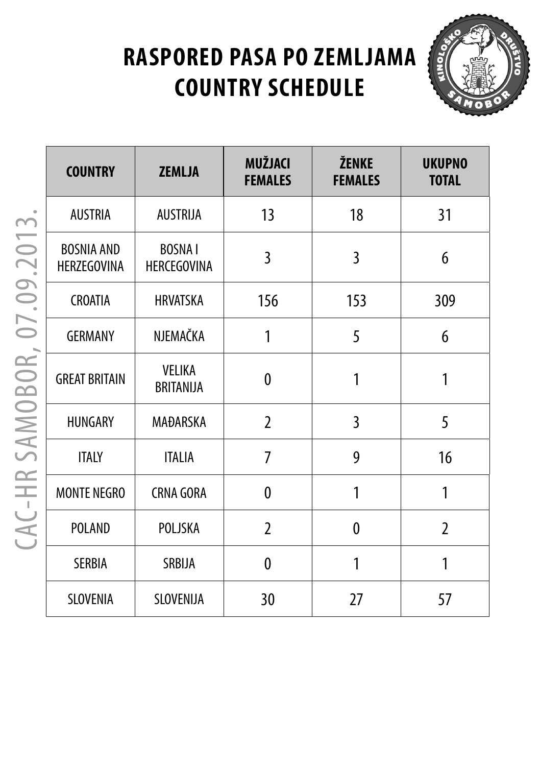# **RASPORED PASA PO ZEMLJAMA COUNTRY SCHEDULE**



| <b>COUNTRY</b>                          | Z   |
|-----------------------------------------|-----|
| <b>AUSTRIA</b>                          | А   |
| <b>BOSNIA AND</b><br><b>HERZEGOVINA</b> | HER |
| <b>CROATIA</b>                          | H   |
| <b>GERMANY</b>                          | N.  |
| <b>GREAT BRITAIN</b>                    | B   |
| <b>HUNGARY</b>                          | M   |
| ITALY                                   |     |
| <b>MONTE NEGRO</b>                      | CR  |
| POLAND                                  | F   |
|                                         |     |

| <b>COUNTRY</b>                          | <b>ZEMLJA</b>                       | <b>MUŽJACI</b><br><b>FEMALES</b> | ŽENKE<br><b>FEMALES</b> | <b>UKUPNO</b><br><b>TOTAL</b> |
|-----------------------------------------|-------------------------------------|----------------------------------|-------------------------|-------------------------------|
| <b>AUSTRIA</b>                          | <b>AUSTRIJA</b>                     | 13                               | 18                      | 31                            |
| <b>BOSNIA AND</b><br><b>HERZEGOVINA</b> | <b>BOSNAI</b><br><b>HERCEGOVINA</b> | $\overline{3}$                   | 3                       | 6                             |
| <b>CROATIA</b>                          | <b>HRVATSKA</b>                     | 156                              | 153                     | 309                           |
| <b>GERMANY</b>                          | NJEMAČKA                            | 1                                | 5                       | 6                             |
| <b>GREAT BRITAIN</b>                    | <b>VELIKA</b><br><b>BRITANIJA</b>   | 0                                | 1                       | 1                             |
| <b>HUNGARY</b>                          | MAĐARSKA                            | $\overline{2}$                   | $\overline{3}$          | 5                             |
| <b>ITALY</b>                            | <b>ITALIA</b>                       | 7                                | 9                       | 16                            |
| <b>MONTE NEGRO</b>                      | <b>CRNA GORA</b>                    | $\mathbf{0}$                     | 1                       | 1                             |
| <b>POLAND</b>                           | POLJSKA                             | $\overline{2}$                   | $\boldsymbol{0}$        | $\overline{2}$                |
| <b>SERBIA</b>                           | SRBIJA                              | 0                                | 1                       | 1                             |
| SLOVENIA                                | SLOVENIJA                           | 30                               | 27                      | 57                            |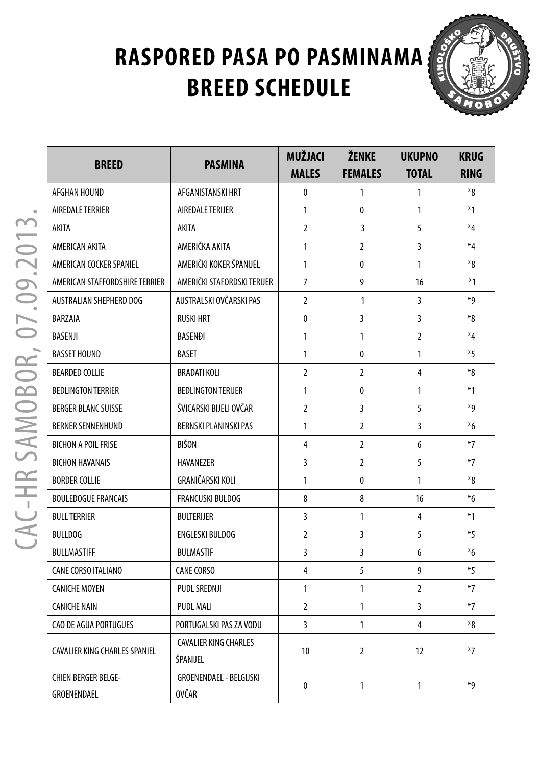### **RASPORED PASA PO PASMINAMA ABREED SCHEDULE**



| <b>BREED</b>                              | <b>PASMINA</b>                           | <b>MUŽJACI</b><br><b>MALES</b> | ŽENKE<br><b>FEMALES</b> | <b>UKUPNO</b><br><b>TOTAL</b> | <b>KRUG</b><br><b>RING</b> |
|-------------------------------------------|------------------------------------------|--------------------------------|-------------------------|-------------------------------|----------------------------|
| AFGHAN HOUND                              | AFGANISTANSKI HRT                        | 0                              | 1                       | 1                             | $*_{8}$                    |
| AIREDALE TERRIER                          | AIREDALE TERUER                          | 1                              | $\mathbf{0}$            | $\mathbf{1}$                  | $*1$                       |
| AKITA                                     | AKITA                                    | $\overline{2}$                 | 3                       | 5                             | $*_{4}$                    |
| AMERICAN AKITA                            | AMERIČKA AKITA                           | 1                              | $\overline{2}$          | 3                             | $*4$                       |
| AMERICAN COCKER SPANIEL                   | AMERIČKI KOKER ŠPANIJEL                  | 1                              | $\mathbf{0}$            | 1                             | *8                         |
| AMERICAN STAFFORDSHIRE TERRIER            | AMERIČKI STAFORDSKI TERIJER              | 7                              | 9                       | 16                            | $*1$                       |
| AUSTRALIAN SHEPHERD DOG                   | AUSTRALSKI OVČARSKI PAS                  | $\overline{2}$                 | $\mathbf{1}$            | 3                             | *9                         |
| BARZAIA                                   | <b>RUSKI HRT</b>                         | 0                              | 3                       | 3                             | $*_{8}$                    |
| BASENJI                                   | <b>BASENDI</b>                           | 1                              | $\mathbf{1}$            | 2                             | $\ast_4$                   |
| <b>BASSET HOUND</b>                       | <b>BASET</b>                             | 1                              | $\mathbf{0}$            | $\mathbf{1}$                  | $*5$                       |
| BEARDED COLLIE                            | <b>BRADATI KOLI</b>                      | 2                              | $\overline{2}$          | 4                             | $*_{8}$                    |
| BEDLINGTON TERRIER                        | <b>BEDLINGTON TERIJER</b>                | 1                              | $\mathbf{0}$            | $\mathbf{1}$                  | $*1$                       |
| <b>BERGER BLANC SUISSE</b>                | ŠVICARSKI BIJELI OVČAR                   | $\overline{2}$                 | 3                       | 5                             | *9                         |
| BERNER SENNENHUND                         | <b>BERNSKI PLANINSKI PAS</b>             | 1                              | $\overline{2}$          | 3                             | $*6$                       |
| <b>BICHON A POIL FRISE</b>                | BIŠON                                    | 4                              | $\overline{2}$          | 6                             | $*7$                       |
| <b>BICHON HAVANAIS</b>                    | <b>HAVANEZER</b>                         | 3                              | $\overline{2}$          | 5                             | $*7$                       |
| <b>BORDER COLLIE</b>                      | GRANIČARSKI KOLI                         | 1                              | $\mathbf{0}$            | $\mathbf{1}$                  | $*_{8}$                    |
| <b>BOULEDOGUE FRANCAIS</b>                | <b>FRANCUSKI BULDOG</b>                  | 8                              | 8                       | 16                            | $*6$                       |
| <b>BULL TERRIER</b>                       | <b>BULTERIJER</b>                        | 3                              | 1                       | 4                             | $*1$                       |
| <b>BULLDOG</b>                            | <b>ENGLESKI BULDOG</b>                   | $\overline{2}$                 | 3                       | 5                             | $*5$                       |
| BULLMASTIFF                               | <b>BULMASTIF</b>                         | 3                              | 3                       | 6                             | $*6$                       |
| CANE CORSO ITALIANO                       | <b>CANE CORSO</b>                        | 4                              | 5                       | 9                             | $*5$                       |
| <b>CANICHE MOYEN</b>                      | <b>PUDL SREDNJI</b>                      | 1                              | $\mathbf{1}$            | $\overline{2}$                | $*7$                       |
| CANICHE NAIN                              | <b>PUDL MALI</b>                         | 2                              | 1                       | 3                             | $*7$                       |
| CAO DE AGUA PORTUGUES                     | PORTUGALSKI PAS ZA VODU                  | 3                              | 1                       | 4                             | $*_{8}$                    |
| CAVALIER KING CHARLES SPANIEL             | <b>CAVALIER KING CHARLES</b><br>ŠPANIJEL | 10                             | $\overline{2}$          | 12                            | $*7$                       |
| <b>CHIEN BERGER BELGE-</b><br>GROENENDAEL | GROENENDAEL - BELGIJSKI<br><b>OVČAR</b>  | 0                              | 1                       | 1                             | *q                         |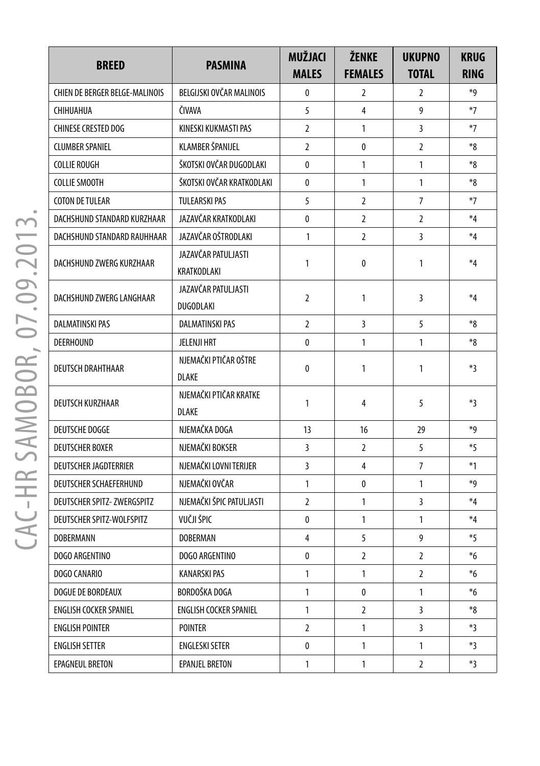| <b>BREED</b>                          | <b>PASMINA</b>                          | MUŽJACI<br><b>MALES</b> | ŽENKE<br><b>FEMALES</b> | <b>UKUPNO</b><br><b>TOTAL</b> | <b>KRUG</b><br><b>RING</b> |
|---------------------------------------|-----------------------------------------|-------------------------|-------------------------|-------------------------------|----------------------------|
| <b>CHIEN DE BERGER BELGE-MALINOIS</b> | BELGIJSKI OVČAR MALINOIS                | 0                       | 2                       | 2                             | *9                         |
| CHIHUAHUA                             | ČIVAVA                                  | 5                       | 4                       | 9                             | $*7$                       |
| <b>CHINESE CRESTED DOG</b>            | KINESKI KUKMASTI PAS                    | 2                       | 1                       | 3                             | $*7$                       |
| <b>CLUMBER SPANIEL</b>                | KLAMBER ŠPANIJEL                        | $\overline{2}$          | 0                       | $\overline{2}$                | $*_{8}$                    |
| <b>COLLIE ROUGH</b>                   | ŠKOTSKI OVČAR DUGODLAKI                 | 0                       | $\mathbf{1}$            | 1                             | $8*$                       |
| <b>COLLIE SMOOTH</b>                  | ŠKOTSKI OVČAR KRATKODLAKI               | 0                       | 1                       | 1                             | $*_{8}$                    |
| <b>COTON DE TULEAR</b>                | <b>TULEARSKI PAS</b>                    | 5                       | 2                       | $\overline{7}$                | $*7$                       |
| DACHSHUND STANDARD KURZHAAR           | JAZAVČAR KRATKODLAKI                    | 0                       | 2                       | $\overline{2}$                | $*4$                       |
| DACHSHUND STANDARD RAUHHAAR           | JAZAVČAR OŠTRODLAKI                     | $\mathbf{1}$            | $\overline{2}$          | 3                             | $*_{4}$                    |
| DACHSHUND ZWERG KURZHAAR              | JAZAVČAR PATULJASTI<br>KRATKODLAKI      | 1                       | 0                       | 1                             | $*4$                       |
| DACHSHUND ZWERG LANGHAAR              | JAZAVČAR PATULJASTI<br><b>DUGODLAKI</b> | $\overline{2}$          | 1                       | 3                             | $*4$                       |
| <b>DALMATINSKI PAS</b>                | <b>DALMATINSKI PAS</b>                  | $\overline{2}$          | 3                       | 5                             | $*_{8}$                    |
| <b>DEERHOUND</b>                      | <b>JELENJI HRT</b>                      | 0                       | 1                       | 1                             | $*_{8}$                    |
| <b>DEUTSCH DRAHTHAAR</b>              | NJEMAČKI PTIČAR OŠTRE<br><b>DLAKE</b>   | 0                       | 1                       | 1                             | *3                         |
| DEUTSCH KURZHAAR                      | NJEMAČKI PTIČAR KRATKE<br><b>DLAKE</b>  | $\mathbf{1}$            | 4                       | 5                             | $*3$                       |
| <b>DEUTSCHE DOGGE</b>                 | NJEMAČKA DOGA                           | 13                      | 16                      | 29                            | *9                         |
| <b>DEUTSCHER BOXER</b>                | NJEMAČKI BOKSER                         | 3                       | $\overline{2}$          | 5                             | $*5$                       |
| <b>DEUTSCHER JAGDTERRIER</b>          | NJEMAČKI LOVNI TERIJER                  | 3                       | 4                       | 7                             | $*1$                       |
| <b>DEUTSCHER SCHAEFERHUND</b>         | NJEMAČKI OVČAR                          | $\mathbf{1}$            | 0                       | 1                             | *9                         |
| DEUTSCHER SPITZ- ZWERGSPITZ           | NJEMAČKI ŠPIC PATULJASTI                | $\overline{2}$          | 1                       | 3                             | $*4$                       |
| DEUTSCHER SPITZ-WOLFSPITZ             | VUČJI ŠPIC                              | 0                       | 1                       | 1                             | $*_{4}$                    |
| <b>DOBERMANN</b>                      | <b>DOBERMAN</b>                         | 4                       | 5                       | 9                             | $*5$                       |
| DOGO ARGENTINO                        | DOGO ARGENTINO                          | 0                       | 2                       | $\overline{2}$                | $*6$                       |
| DOGO CANARIO                          | <b>KANARSKI PAS</b>                     | 1                       | 1                       | 2                             | $*6$                       |
| DOGUE DE BORDEAUX                     | BORDOŠKA DOGA                           | $\mathbf{1}$            | 0                       | 1                             | $*6$                       |
| <b>ENGLISH COCKER SPANIEL</b>         | ENGLISH COCKER SPANIEL                  | $\mathbf{1}$            | $\overline{2}$          | 3                             | $8*$                       |
| <b>ENGLISH POINTER</b>                | <b>POINTER</b>                          | $\overline{2}$          | 1                       | 3                             | $*3$                       |
| <b>ENGLISH SETTER</b>                 | <b>ENGLESKI SETER</b>                   | 0                       | 1                       | 1                             | *3                         |
| EPAGNEUL BRETON                       | <b>EPANJEL BRETON</b>                   | $\mathbf{1}$            | 1                       | $\overline{2}$                | *3                         |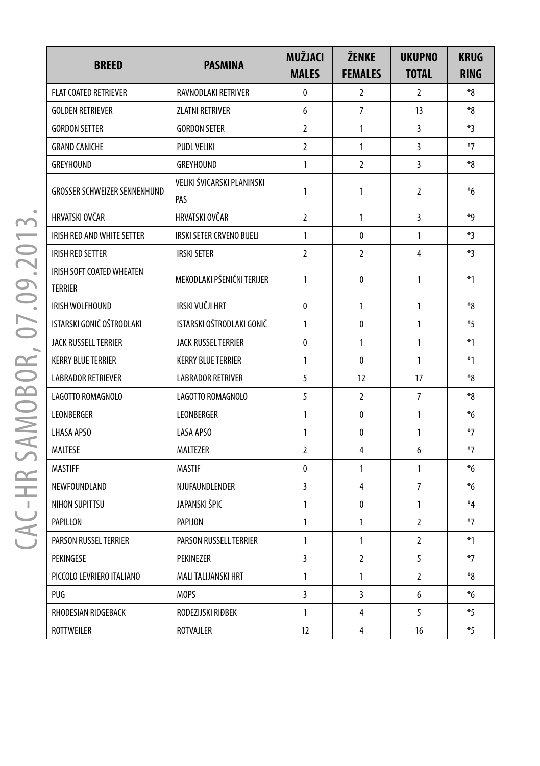| <b>BREED</b>                                | <b>PASMINA</b>                    | <b>MUŽJACI</b><br><b>MALES</b> | <b>ŽENKE</b><br><b>FEMALES</b> | <b>UKUPNO</b><br><b>TOTAL</b> | <b>KRUG</b><br><b>RING</b> |
|---------------------------------------------|-----------------------------------|--------------------------------|--------------------------------|-------------------------------|----------------------------|
| <b>FLAT COATED RETRIEVER</b>                | RAVNODLAKI RETRIVER               | 0                              | 2                              | $\overline{2}$                | $8*$                       |
| <b>GOLDEN RETRIEVER</b>                     | ZLATNI RETRIVER                   | 6                              | $\overline{7}$                 | 13                            | $8*$                       |
| <b>GORDON SETTER</b>                        | <b>GORDON SETER</b>               | $\overline{2}$                 | $\mathbf{1}$                   | 3                             | *3                         |
| <b>GRAND CANICHE</b>                        | PUDL VELIKI                       | $\overline{2}$                 | $\mathbf{1}$                   | 3                             | $*7$                       |
| <b>GREYHOUND</b>                            | GREYHOUND                         | 1                              | $\overline{2}$                 | 3                             | $8*$                       |
| <b>GROSSER SCHWEIZER SENNENHUND</b>         | VELIKI ŠVICARSKI PLANINSKI<br>PAS | 1                              | $\mathbf{1}$                   | $\overline{2}$                | $*6$                       |
| HRVATSKI OVČAR                              | HRVATSKI OVČAR                    | $\overline{2}$                 | 1                              | 3                             | ∗g                         |
| IRISH RED AND WHITE SETTER                  | IRSKI SETER CRVENO BIJELI         | 1                              | 0                              | 1                             | *3                         |
| <b>IRISH RED SETTER</b>                     | <b>IRSKI SETER</b>                | 2                              | 2                              | 4                             | $*3$                       |
| IRISH SOFT COATED WHEATEN<br><b>TERRIER</b> | MEKODLAKI PŠENIČNI TERIJER        | 1                              | 0                              | 1                             | $*1$                       |
| IRISH WOLFHOUND                             | IRSKI VUČJI HRT                   | $\mathbf{0}$                   | $\mathbf{1}$                   | $\mathbf{1}$                  | *8                         |
| ISTARSKI GONIČ OŠTRODLAKI                   | ISTARSKI OŠTRODLAKI GONIČ         | 1                              | 0                              | $\mathbf{1}$                  | $*5$                       |
| JACK RUSSELL TERRIER                        | <b>JACK RUSSEL TERRIER</b>        | 0                              | 1                              | 1                             | $*1$                       |
| <b>KERRY BLUE TERRIER</b>                   | <b>KERRY BLUE TERRIER</b>         | 1                              | 0                              | $\mathbf{1}$                  | $*1$                       |
| <b>LABRADOR RETRIEVER</b>                   | <b>LABRADOR RETRIVER</b>          | 5                              | 12                             | 17                            | $8*$                       |
| LAGOTTO ROMAGNOLO                           | LAGOTTO ROMAGNOLO                 | 5                              | $\overline{2}$                 | $\overline{7}$                | $8*$                       |
| LEONBERGER                                  | <b>LEONBERGER</b>                 | 1                              | 0                              | $\mathbf{1}$                  | $*6$                       |
| <b>LHASA APSO</b>                           | <b>LASA APSO</b>                  | 1                              | 0                              | 1                             | $*7$                       |
| <b>MALTESE</b>                              | MALTEZER                          | $\overline{2}$                 | 4                              | 6                             | $*7$                       |
| <b>MASTIFF</b>                              | <b>MASTIF</b>                     | 0                              | $\mathbf{1}$                   | $\mathbf{1}$                  | $*6$                       |
| NEWFOUNDLAND                                | NJUFAUNDLENDER                    | 3                              | 4                              | $\overline{7}$                | $*6$                       |
| NIHON SUPITTSU                              | JAPANSKI ŠPIC                     | 1                              | 0                              | $\mathbf{1}$                  | $*_{4}$                    |
| PAPILLON                                    | PAPIJON                           | 1                              | 1                              | 2                             | $*7$                       |
| PARSON RUSSEL TERRIER                       | PARSON RUSSELL TERRIER            | 1                              | 1                              | $\overline{2}$                | $*1$                       |
| PEKINGESE                                   | PEKINEZER                         | 3                              | $\overline{2}$                 | 5                             | $*7$                       |
| PICCOLO LEVRIERO ITALIANO                   | MALI TALIJANSKI HRT               | 1                              | $\mathbf{1}$                   | $\overline{2}$                | $8*$                       |
| PUG                                         | <b>MOPS</b>                       | 3                              | 3                              | 6                             | $*6$                       |
| RHODESIAN RIDGEBACK                         | RODEZIJSKI RIĐBEK                 | 1                              | 4                              | 5                             | $*5$                       |
| <b>ROTTWEILER</b>                           | <b>ROTVAJLER</b>                  | 12                             | 4                              | 16                            | $*5$                       |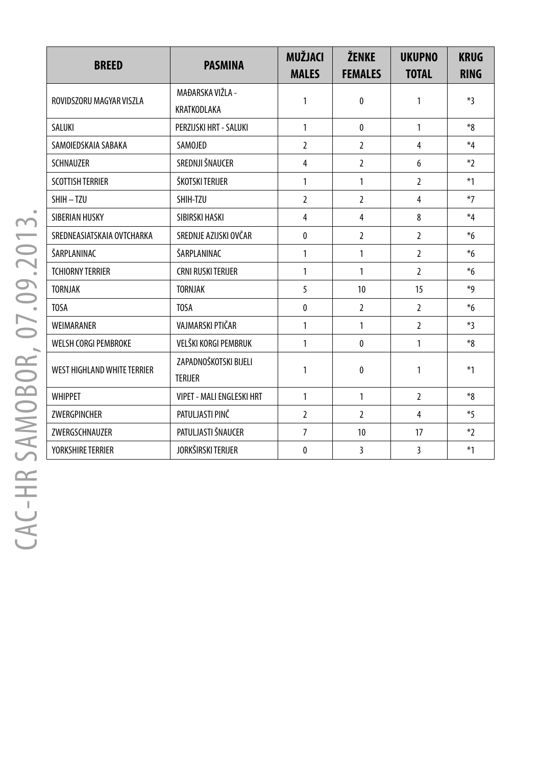| <b>BREED</b>                       | <b>PASMINA</b>                   | <b>MUŽJACI</b><br><b>MALES</b> | <b>ŽENKE</b><br><b>FEMALES</b> | <b>UKUPNO</b><br><b>TOTAL</b> | <b>KRUG</b><br><b>RING</b> |
|------------------------------------|----------------------------------|--------------------------------|--------------------------------|-------------------------------|----------------------------|
| ROVIDSZORU MAGYAR VISZLA           | MAĐARSKA VIŽLA -                 | 1                              | 0                              | 1                             | $*3$                       |
|                                    | KRATKODLAKA                      |                                |                                |                               |                            |
| SALUKI                             | PERZIJSKI HRT - SALUKI           | $\mathbf{1}$                   | $\mathbf{0}$                   | $\mathbf{1}$                  | $*_{8}$                    |
| SAMOIEDSKAIA SABAKA                | SAMOJED                          | $\overline{2}$                 | $\overline{2}$                 | $\overline{4}$                | $*4$                       |
| <b>SCHNAUZER</b>                   | SREDNJI ŠNAUCER                  | 4                              | $\overline{2}$                 | 6                             | $*$                        |
| <b>SCOTTISH TERRIER</b>            | ŠKOTSKI TERIJER                  | 1                              | 1                              | $\overline{2}$                | $*1$                       |
| SHIH-TZU                           | SHIH-TZU                         | $\overline{2}$                 | $\overline{2}$                 | $\overline{4}$                | $*7$                       |
| SIBERIAN HUSKY                     | SIBIRSKI HASKI                   | $\overline{4}$                 | 4                              | 8                             | $*_{4}$                    |
| SREDNEASIATSKAIA OVTCHARKA         | SREDNJE AZIJSKI OVČAR            | $\mathbf{0}$                   | $\overline{2}$                 | $\overline{2}$                | $*6$                       |
| ŠARPLANINAC                        | ŠARPLANINAC                      | 1                              | 1                              | $\overline{2}$                | $*6$                       |
| <b>TCHIORNY TERRIER</b>            | <b>CRNI RUSKI TERIJER</b>        | 1                              | 1                              | $\overline{2}$                | $*6$                       |
| <b>TORNJAK</b>                     | <b>TORNJAK</b>                   | 5                              | 10                             | 15                            | *9                         |
| <b>TOSA</b>                        | <b>TOSA</b>                      | $\mathbf{0}$                   | $\overline{2}$                 | $\overline{2}$                | $*6$                       |
| WEIMARANER                         | VAJMARSKI PTIČAR                 | 1                              | 1                              | $\overline{2}$                | $*3$                       |
| WELSH CORGI PEMBROKE               | VELŠKI KORGI PEMBRUK             | 1                              | 0                              | 1                             | $*8$                       |
| <b>WEST HIGHLAND WHITE TERRIER</b> | ZAPADNOŠKOTSKI BIJELI            | 1                              | $\mathbf{0}$                   | 1                             | $*1$                       |
|                                    | <b>TERIJER</b>                   |                                |                                |                               |                            |
| <b>WHIPPET</b>                     | <b>VIPET - MALI ENGLESKI HRT</b> | 1                              | 1                              | $\overline{2}$                | $*_{8}$                    |
| ZWERGPINCHER                       | PATULJASTI PINČ                  | $\overline{2}$                 | $\overline{2}$                 | 4                             | $*5$                       |
| ZWERGSCHNAUZER                     | PATULJASTI ŠNAUCER               | $\overline{7}$                 | 10                             | 17                            | $*2$                       |
| <b>YORKSHIRE TERRIER</b>           | JORKŠIRSKI TERIJER               | 0                              | 3                              | 3                             | $*1$                       |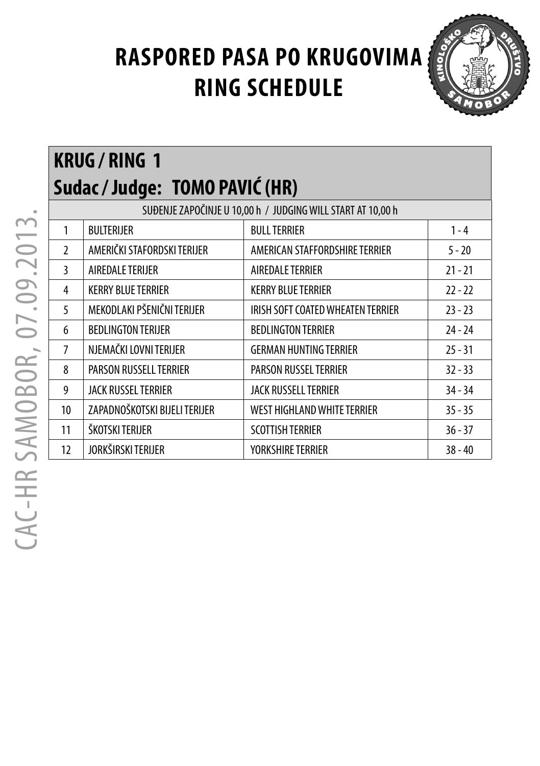

# **KRUG / RING 1 Sudac / Judge: TOMO PAVIĆ (HR)**

|                | SUĐENJE ZAPOČINJE U 10,00 h / JUDGING WILL START AT 10,00 h |                                   |           |  |  |  |
|----------------|-------------------------------------------------------------|-----------------------------------|-----------|--|--|--|
| 1              | <b>BULTERIJER</b>                                           | <b>BULL TERRIER</b>               | $1 - 4$   |  |  |  |
| $\mathfrak{p}$ | AMERIČKI STAFORDSKI TERIJER                                 | AMERICAN STAFFORDSHIRE TERRIER    | $5 - 20$  |  |  |  |
| 3              | AIREDALE TERIJER                                            | AIREDALE TERRIER                  | $21 - 21$ |  |  |  |
| 4              | <b>KERRY BLUE TERRIER</b>                                   | <b>KERRY BLUE TERRIER</b>         | $22 - 22$ |  |  |  |
| 5              | MEKODLAKI PŠENIČNI TERIJER                                  | IRISH SOFT COATED WHEATEN TERRIER | $23 - 23$ |  |  |  |
| 6              | <b>BEDLINGTON TERIJER</b>                                   | <b>BEDLINGTON TERRIER</b>         | $24 - 24$ |  |  |  |
| 7              | NJEMAČKI LOVNI TERIJER                                      | <b>GERMAN HUNTING TERRIER</b>     | $25 - 31$ |  |  |  |
| 8              | PARSON RUSSELL TERRIER                                      | <b>PARSON RUSSEL TERRIER</b>      | $32 - 33$ |  |  |  |
| 9              | <b>JACK RUSSEL TERRIER</b>                                  | <b>JACK RUSSELL TERRIER</b>       | $34 - 34$ |  |  |  |
| 10             | ZAPADNOŠKOTSKI BIJELI TERIJER                               | WEST HIGHLAND WHITE TERRIER       | $35 - 35$ |  |  |  |
| 11             | ŠKOTSKI TERIJER                                             | <b>SCOTTISH TERRIER</b>           | $36 - 37$ |  |  |  |
| 12             | JORKŠIRSKI TERIJER                                          | <b>YORKSHIRE TERRIER</b>          | $38 - 40$ |  |  |  |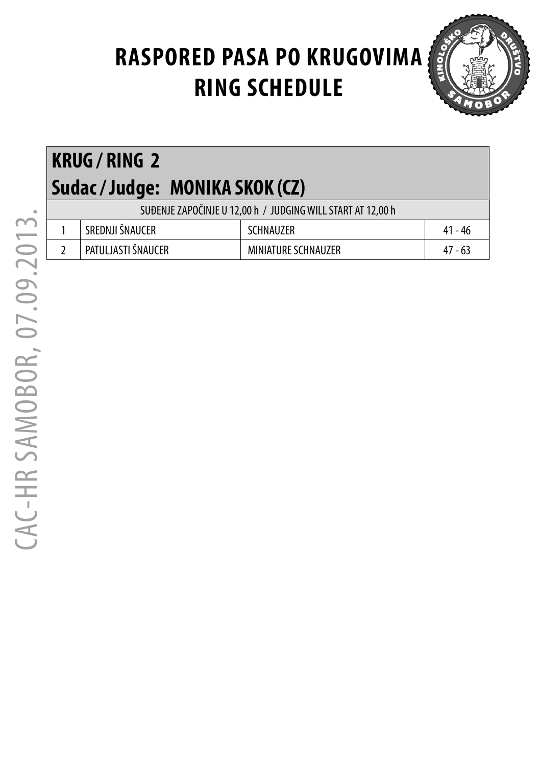

| <b>KRUG/RING 2</b><br>Sudac / Judge: MONIKA SKOK (CZ)       |                            |           |  |  |  |
|-------------------------------------------------------------|----------------------------|-----------|--|--|--|
| SUĐENJE ZAPOČINJE U 12,00 h / JUDGING WILL START AT 12,00 h |                            |           |  |  |  |
| SREDNJI ŠNAUCER                                             | <b>SCHNAUZER</b>           | $41 - 46$ |  |  |  |
| PATULJASTI ŠNAUCER                                          | <b>MINIATURE SCHNAUZER</b> | $47 - 63$ |  |  |  |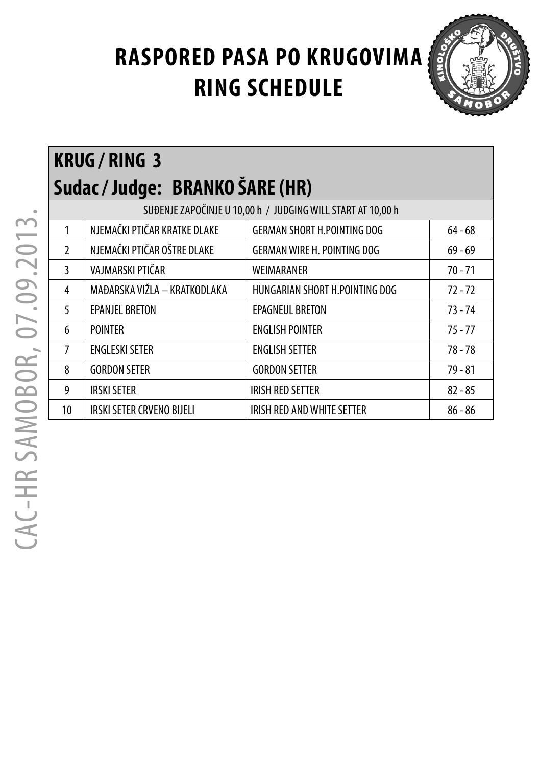

 CAC-HR SAMOBOR, 07.09.2013. CAC-HR SAMOBOR, 07.09.2013. **KRUG / RING 3** 

|                | Sudac / Judge: BRANKO ŠARE (HR) |                                                             |           |  |  |
|----------------|---------------------------------|-------------------------------------------------------------|-----------|--|--|
|                |                                 | SUĐENJE ZAPOČINJE U 10,00 h / JUDGING WILL START AT 10,00 h |           |  |  |
| 1              | NJEMAČKI PTIČAR KRATKE DLAKE    | <b>GERMAN SHORT H.POINTING DOG</b>                          | $64 - 68$ |  |  |
| $\mathfrak{p}$ | NJEMAČKI PTIČAR OŠTRE DLAKE     | <b>GERMAN WIRE H. POINTING DOG</b>                          | $69 - 69$ |  |  |
| 3              | VAJMARSKI PTIČAR                | WEIMARANER                                                  | $70 - 71$ |  |  |
| 4              | MAĐARSKA VIŽLA - KRATKODLAKA    | HUNGARIAN SHORT H.POINTING DOG                              | $72 - 72$ |  |  |
| 5              | <b>EPANJEL BRETON</b>           | <b>EPAGNEUL BRETON</b>                                      | $73 - 74$ |  |  |
| 6              | <b>POINTER</b>                  | <b>ENGLISH POINTER</b>                                      | $75 - 77$ |  |  |
| 7              | <b>ENGLESKI SETER</b>           | <b>ENGLISH SETTER</b>                                       | $78 - 78$ |  |  |
| 8              | <b>GORDON SETER</b>             | <b>GORDON SETTER</b>                                        | $79 - 81$ |  |  |
| 9              | <b>IRSKI SETER</b>              | <b>IRISH RED SETTER</b>                                     | $82 - 85$ |  |  |
| 10             | IRSKI SETER CRVENO BIJELI       | IRISH RED AND WHITE SETTER                                  | $86 - 86$ |  |  |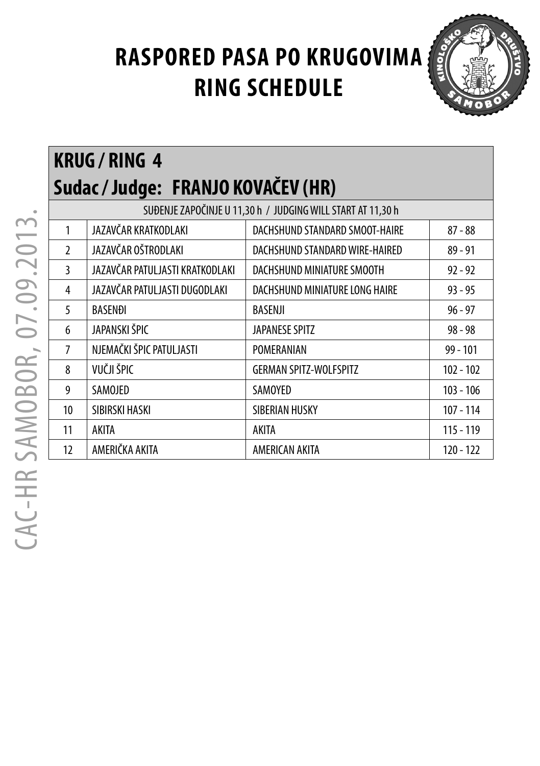

 CAC-HR SAMOBOR, 07.09.2013. CAC-HR SAMOBOR, 07.09.2013.

| <b>KRUG/RING 4</b> |                                    |
|--------------------|------------------------------------|
|                    | Sudac / Judge: FRANJO KOVAČEV (HR) |

|                | SUĐENJE ZAPOČINJE U 11,30 h / JUDGING WILL START AT 11,30 h |                                |             |  |  |
|----------------|-------------------------------------------------------------|--------------------------------|-------------|--|--|
| 1              | JAZAVČAR KRATKODLAKI                                        | DACHSHUND STANDARD SMOOT-HAIRE | $87 - 88$   |  |  |
| $\mathfrak{I}$ | JAZAVČAR OŠTRODLAKI                                         | DACHSHUND STANDARD WIRE-HAIRED | $89 - 91$   |  |  |
| 3              | JAZAVČAR PATULJASTI KRATKODLAKI                             | DACHSHUND MINIATURE SMOOTH     | $92 - 92$   |  |  |
| 4              | JAZAVČAR PATULJASTI DUGODLAKI                               | DACHSHUND MINIATURE LONG HAIRE | $93 - 95$   |  |  |
| 5              | <b>BASENDI</b>                                              | BASENJI                        | $96 - 97$   |  |  |
| 6              | JAPANSKI ŠPIC                                               | JAPANESE SPITZ                 | $98 - 98$   |  |  |
| $\overline{7}$ | NJEMAČKI ŠPIC PATULJASTI                                    | POMERANIAN                     | $99 - 101$  |  |  |
| 8              | VUČJI ŠPIC                                                  | <b>GERMAN SPITZ-WOLFSPITZ</b>  | $102 - 102$ |  |  |
| 9              | SAMOJED                                                     | SAMOYED                        | $103 - 106$ |  |  |
| 10             | SIBIRSKI HASKI                                              | SIBERIAN HUSKY                 | $107 - 114$ |  |  |
| 11             | AKITA                                                       | AKITA                          | $115 - 119$ |  |  |
| 12             | AMERIČKA AKITA                                              | AMERICAN AKITA                 | $120 - 122$ |  |  |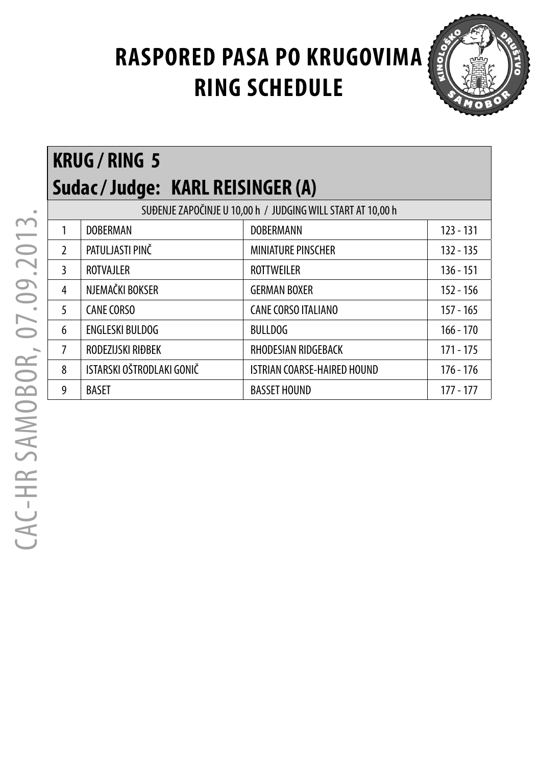

|               | <b>KRUG/RING 5</b>              |                                                             |             |  |  |  |
|---------------|---------------------------------|-------------------------------------------------------------|-------------|--|--|--|
|               | Sudac/Judge: KARL REISINGER (A) |                                                             |             |  |  |  |
|               |                                 | SUĐENJE ZAPOČINJE U 10,00 h / JUDGING WILL START AT 10,00 h |             |  |  |  |
| 1             | <b>DOBERMAN</b>                 | <b>DOBERMANN</b>                                            | $123 - 131$ |  |  |  |
| $\mathcal{L}$ | PATULJASTI PINČ                 | <b>MINIATURE PINSCHER</b>                                   | $132 - 135$ |  |  |  |
| 3             | <b>ROTVAJLER</b>                | <b>ROTTWEILER</b>                                           | $136 - 151$ |  |  |  |
| 4             | NJEMAČKI BOKSER                 | <b>GERMAN BOXER</b>                                         | $152 - 156$ |  |  |  |
| 5             | <b>CANE CORSO</b>               | <b>CANE CORSO ITALIANO</b>                                  | $157 - 165$ |  |  |  |
| 6             | <b>ENGLESKI BULDOG</b>          | <b>BULLDOG</b>                                              | $166 - 170$ |  |  |  |
| 7             | RODEZIJSKI RIĐBEK               | RHODESIAN RIDGEBACK                                         | 171 - 175   |  |  |  |
| 8             | ISTARSKI OŠTRODLAKI GONIČ       | <b>ISTRIAN COARSE-HAIRED HOUND</b>                          | 176 - 176   |  |  |  |
| 9             | BASET                           | <b>BASSET HOUND</b>                                         | 177 - 177   |  |  |  |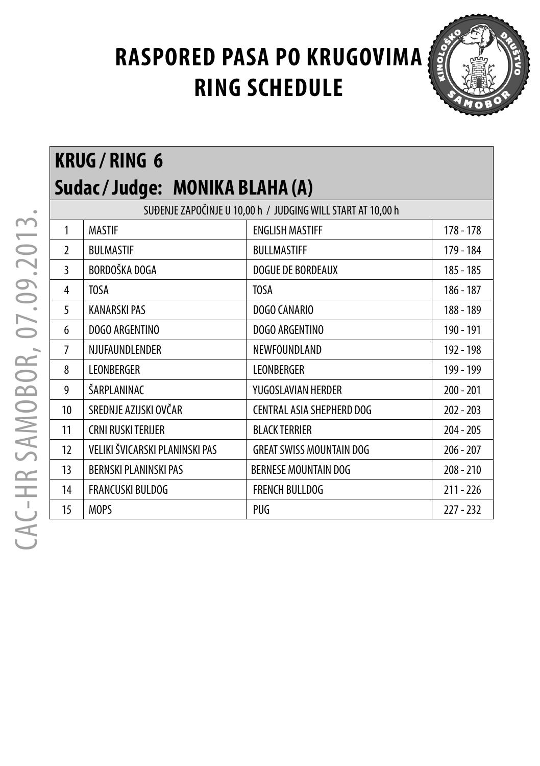

#### **KRUG / RING 6 Sudac / Judge: MONIKA BLAHA (A)** SUĐENJE ZAPOČINJE U 10,00 h / JUDGING WILL START AT 10,00 h 1 MASTIF ENGLISH MASTIFF 178 - 178 2 BULMASTIF BULLMASTIFF 179 - 184 3 BORDOŠKA DOGA DOGUE DE BORDEAUX 185 - 185 4 | TOSA | TOSA | TOSA | 186 - 187 5 KANARSKI PAS DOGO CANARIO 188 - 189 6 DOGO ARGENTINO DOGO ARGENTINO 190 - 191 7 NJUFAUNDLENDER NEWFOUNDLAND 192 - 198 8 LEONBERGER | LEONBERGER | 199 - 199 9 SARPLANINAC VUGOSLAVIAN HERDER 200 - 201 10 SREDNJE AZIJSKI OVČAR CENTRAL ASIA SHEPHERD DOG 202 - 203 11 CRNI RUSKI TERIJER BLACK TERRIER 204 - 205 12 VELIKI ŠVICARSKI PLANINSKI PAS GREAT SWISS MOUNTAIN DOG 206 - 207 13 BERNSKI PLANINSKI PAS BERNESE MOUNTAIN DOG 208 - 210 14 FRANCUSKI BULDOG FRENCH BULLDOG 211 - 226 15 | MOPS | PUG | 227 - 232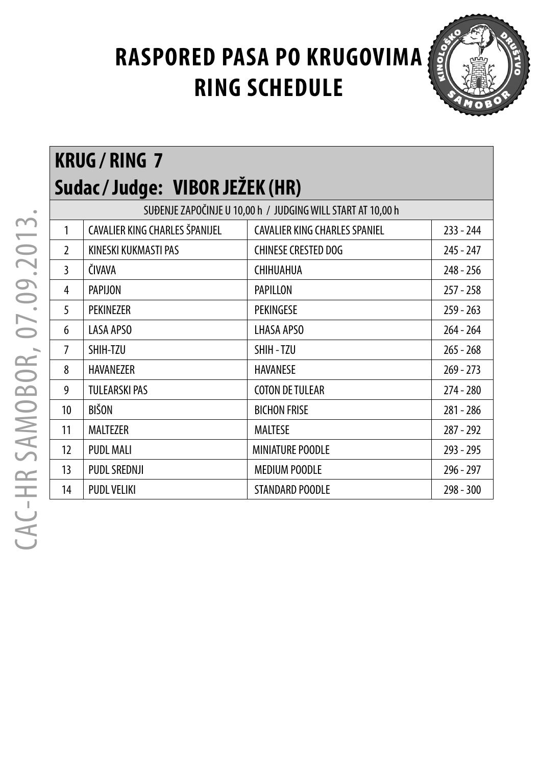

#### **KRUG / RING 7 Sudac / Judge: VIBOR JEŽEK (HR)** SUĐENJE ZAPOČINJE U 10,00 h / JUDGING WILL START AT 10,00 h 1 CAVALIER KING CHARLES ŠPANIJEL CAVALIER KING CHARLES SPANIEL 233 - 244 2 KINESKI KUKMASTI PAS CHINESE CRESTED DOG 245 - 247 3 ČIVAVA CHIHUAHUA 248 - 256 4 PAPIJON PAPILLON 257 - 258 5 PEKINEZER PEKINGESE 259 - 263 6 LASA APSO LHASA APSO 264 - 264 7 SHIH-TZU SHIH - TZU 265 - 268 8 HAVANEZER HAVANESE 269 - 273 9 TULEARSKI PAS COTON DE TULEAR 274 - 280 10 BIŠON BICHON FRISE 281 - 286 11 MALTEZER MALTESE 287 - 292 12 PUDL MALI MINIATURE POODLE 293 - 295 13 PUDL SREDNJI MEDIUM POODLE 296 - 297 14 PUDL VELIKI STANDARD POODLE 298 - 300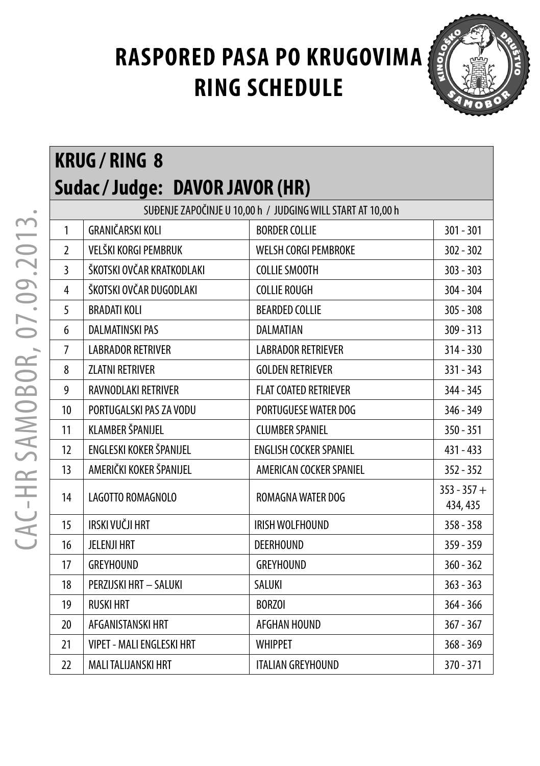

### **KRUG / RING 8 Sudac / Judge: DAVOR JAVOR (HR)**

| SUĐENJE ZAPOČINJE U 10,00 h / JUDGING WILL START AT 10,00 h |                                  |                               |                           |  |  |
|-------------------------------------------------------------|----------------------------------|-------------------------------|---------------------------|--|--|
| $\mathbf{1}$                                                | GRANIČARSKI KOLI                 | <b>BORDER COLLIE</b>          | $301 - 301$               |  |  |
| $\overline{2}$                                              | VELŠKI KORGI PEMBRUK             | <b>WELSH CORGI PEMBROKE</b>   | $302 - 302$               |  |  |
| 3                                                           | ŠKOTSKI OVČAR KRATKODLAKI        | <b>COLLIE SMOOTH</b>          | $303 - 303$               |  |  |
| 4                                                           | ŠKOTSKI OVČAR DUGODLAKI          | <b>COLLIE ROUGH</b>           | 304 - 304                 |  |  |
| 5                                                           | <b>BRADATI KOLI</b>              | <b>BEARDED COLLIE</b>         | $305 - 308$               |  |  |
| 6                                                           | <b>DALMATINSKI PAS</b>           | <b>DALMATIAN</b>              | $309 - 313$               |  |  |
| $\overline{7}$                                              | <b>LABRADOR RETRIVER</b>         | <b>LABRADOR RETRIEVER</b>     | $314 - 330$               |  |  |
| 8                                                           | <b>ZLATNI RETRIVER</b>           | <b>GOLDEN RETRIEVER</b>       | $331 - 343$               |  |  |
| 9                                                           | RAVNODLAKI RETRIVER              | <b>FLAT COATED RETRIEVER</b>  | 344 - 345                 |  |  |
| 10                                                          | PORTUGALSKI PAS ZA VODU          | PORTUGUESE WATER DOG          | 346 - 349                 |  |  |
| 11                                                          | KLAMBER ŠPANIJEL                 | <b>CLUMBER SPANIEL</b>        | $350 - 351$               |  |  |
| 12                                                          | ENGLESKI KOKER ŠPANIJEL          | <b>ENGLISH COCKER SPANIEL</b> | 431 - 433                 |  |  |
| 13                                                          | AMERIČKI KOKER ŠPANIJEL          | AMERICAN COCKER SPANIEL       | $352 - 352$               |  |  |
| 14                                                          | LAGOTTO ROMAGNOLO                | ROMAGNA WATER DOG             | $353 - 357 +$<br>434, 435 |  |  |
| 15                                                          | IRSKI VUČJI HRT                  | IRISH WOLFHOUND               | $358 - 358$               |  |  |
| 16                                                          | <b>JELENJI HRT</b>               | <b>DEERHOUND</b>              | $359 - 359$               |  |  |
| 17                                                          | <b>GREYHOUND</b>                 | <b>GREYHOUND</b>              | $360 - 362$               |  |  |
| 18                                                          | PERZIJSKI HRT - SALUKI           | SALUKI                        | $363 - 363$               |  |  |
| 19                                                          | <b>RUSKI HRT</b>                 | <b>BORZOI</b>                 | $364 - 366$               |  |  |
| 20                                                          | AFGANISTANSKI HRT                | AFGHAN HOUND                  | $367 - 367$               |  |  |
| 21                                                          | <b>VIPET - MALI ENGLESKI HRT</b> | <b>WHIPPET</b>                | $368 - 369$               |  |  |
| 22                                                          | MALI TALIJANSKI HRT              | <b>ITALIAN GREYHOUND</b>      | 370 - 371                 |  |  |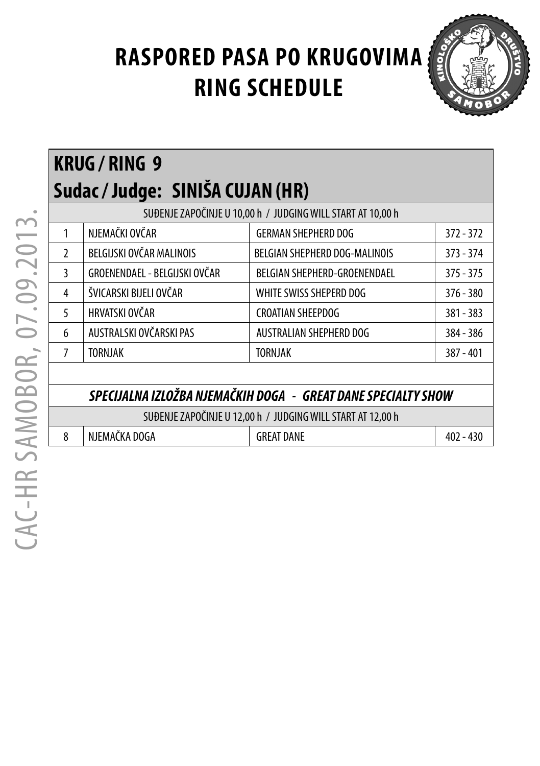

| RNUU / RINU Y                                               |                               |                               |             |  |  |
|-------------------------------------------------------------|-------------------------------|-------------------------------|-------------|--|--|
| Sudac / Judge:   SINIŠA CUJAN (HR)                          |                               |                               |             |  |  |
| SUĐENJE ZAPOČINJE U 10,00 h / JUDGING WILL START AT 10,00 h |                               |                               |             |  |  |
|                                                             | NJEMAČKI OVČAR                | <b>GERMAN SHEPHERD DOG</b>    | $372 - 372$ |  |  |
| $\mathcal{L}$                                               | BELGIJSKI OVČAR MALINOIS      | BELGIAN SHEPHERD DOG-MALINOIS | $373 - 374$ |  |  |
| 3                                                           | GROENENDAEL - BELGIJSKI OVČAR | BELGIAN SHEPHERD-GROENENDAEL  | $375 - 375$ |  |  |
| 4                                                           | ŠVICARSKI BIJELI OVČAR        | WHITE SWISS SHEPERD DOG       | $376 - 380$ |  |  |
| $\overline{5}$                                              | HRVATSKI OVČAR                | <b>CROATIAN SHEEPDOG</b>      | 381 - 383   |  |  |
| 6                                                           | AUSTRALSKI OVČARSKI PAS       | AUSTRALIAN SHEPHERD DOG       | 384 - 386   |  |  |
|                                                             | <b>TORNJAK</b>                | <b>TORNJAK</b>                | $387 - 401$ |  |  |

#### *SPECIJALNA IZLOŽBA NJEMAČKIH DOGA - GREAT DANE SPECIALTY SHOW*

SUĐENJE ZAPOČINJE U 12,00 h / JUDGING WILL START AT 12,00 h

8 NJEMAČKA DOGA GREAT DANE 402 - 430

**KRUG / RING 9**